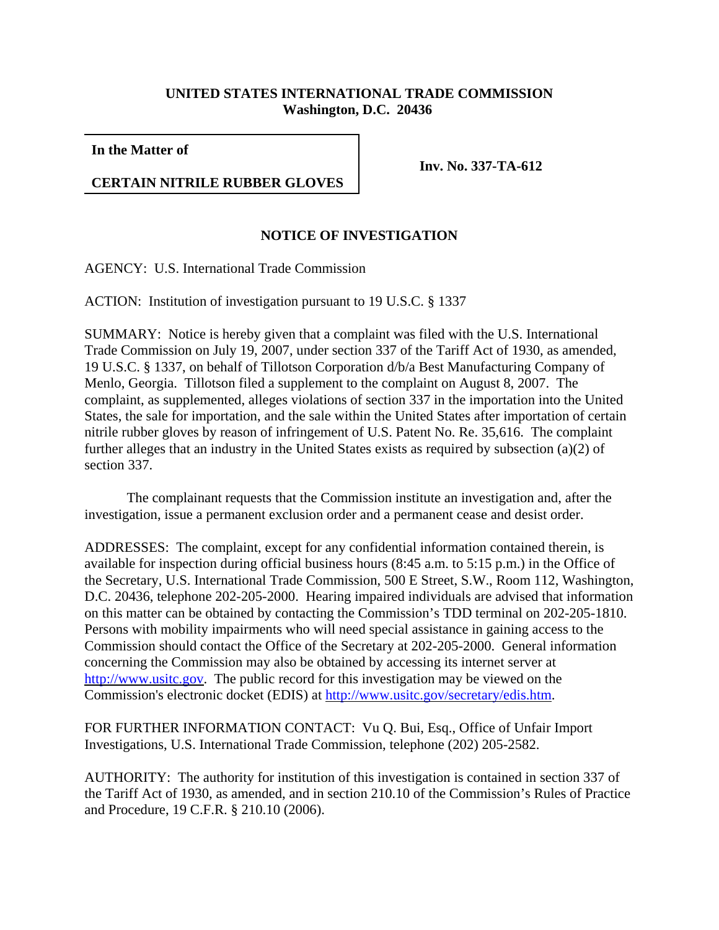## **UNITED STATES INTERNATIONAL TRADE COMMISSION Washington, D.C. 20436**

**In the Matter of** 

## **CERTAIN NITRILE RUBBER GLOVES**

**Inv. No. 337-TA-612**

## **NOTICE OF INVESTIGATION**

AGENCY: U.S. International Trade Commission

ACTION: Institution of investigation pursuant to 19 U.S.C. § 1337

SUMMARY: Notice is hereby given that a complaint was filed with the U.S. International Trade Commission on July 19, 2007, under section 337 of the Tariff Act of 1930, as amended, 19 U.S.C. § 1337, on behalf of Tillotson Corporation d/b/a Best Manufacturing Company of Menlo, Georgia. Tillotson filed a supplement to the complaint on August 8, 2007. The complaint, as supplemented, alleges violations of section 337 in the importation into the United States, the sale for importation, and the sale within the United States after importation of certain nitrile rubber gloves by reason of infringement of U.S. Patent No. Re. 35,616. The complaint further alleges that an industry in the United States exists as required by subsection (a)(2) of section 337.

The complainant requests that the Commission institute an investigation and, after the investigation, issue a permanent exclusion order and a permanent cease and desist order.

ADDRESSES: The complaint, except for any confidential information contained therein, is available for inspection during official business hours (8:45 a.m. to 5:15 p.m.) in the Office of the Secretary, U.S. International Trade Commission, 500 E Street, S.W., Room 112, Washington, D.C. 20436, telephone 202-205-2000. Hearing impaired individuals are advised that information on this matter can be obtained by contacting the Commission's TDD terminal on 202-205-1810. Persons with mobility impairments who will need special assistance in gaining access to the Commission should contact the Office of the Secretary at 202-205-2000. General information concerning the Commission may also be obtained by accessing its internet server at http://www.usitc.gov. The public record for this investigation may be viewed on the Commission's electronic docket (EDIS) at http://www.usitc.gov/secretary/edis.htm.

FOR FURTHER INFORMATION CONTACT: Vu Q. Bui, Esq., Office of Unfair Import Investigations, U.S. International Trade Commission, telephone (202) 205-2582.

AUTHORITY: The authority for institution of this investigation is contained in section 337 of the Tariff Act of 1930, as amended, and in section 210.10 of the Commission's Rules of Practice and Procedure, 19 C.F.R. § 210.10 (2006).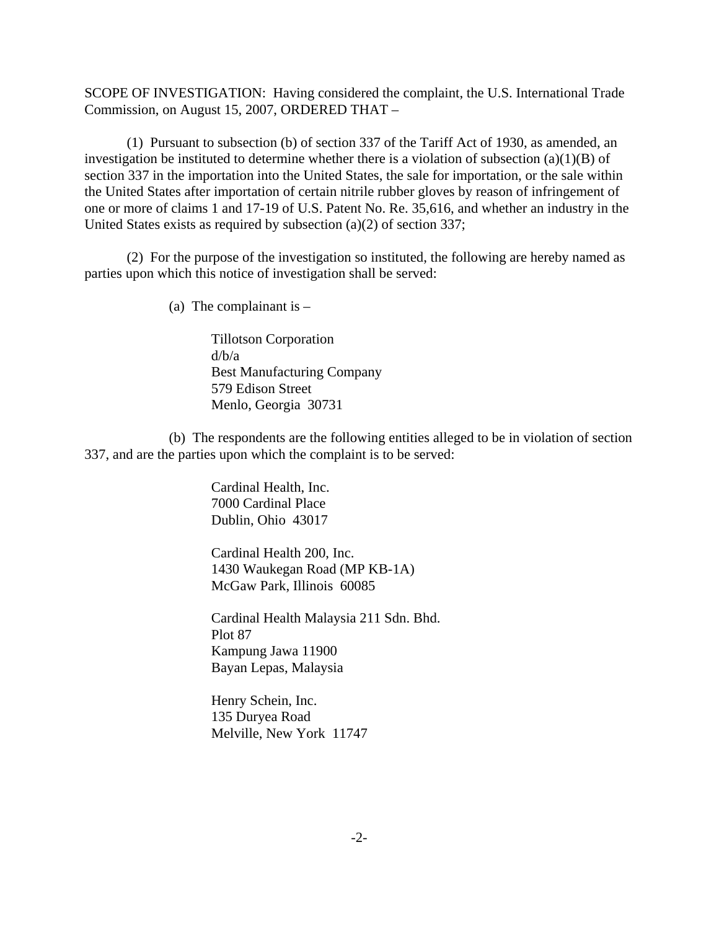SCOPE OF INVESTIGATION: Having considered the complaint, the U.S. International Trade Commission, on August 15, 2007, ORDERED THAT –

(1) Pursuant to subsection (b) of section 337 of the Tariff Act of 1930, as amended, an investigation be instituted to determine whether there is a violation of subsection  $(a)(1)(B)$  of section 337 in the importation into the United States, the sale for importation, or the sale within the United States after importation of certain nitrile rubber gloves by reason of infringement of one or more of claims 1 and 17-19 of U.S. Patent No. Re. 35,616, and whether an industry in the United States exists as required by subsection (a)(2) of section 337;

(2) For the purpose of the investigation so instituted, the following are hereby named as parties upon which this notice of investigation shall be served:

(a) The complainant is  $-$ 

Tillotson Corporation d/b/a Best Manufacturing Company 579 Edison Street Menlo, Georgia 30731

(b) The respondents are the following entities alleged to be in violation of section 337, and are the parties upon which the complaint is to be served:

> Cardinal Health, Inc. 7000 Cardinal Place Dublin, Ohio 43017

Cardinal Health 200, Inc. 1430 Waukegan Road (MP KB-1A) McGaw Park, Illinois 60085

Cardinal Health Malaysia 211 Sdn. Bhd. Plot 87 Kampung Jawa 11900 Bayan Lepas, Malaysia

Henry Schein, Inc. 135 Duryea Road Melville, New York 11747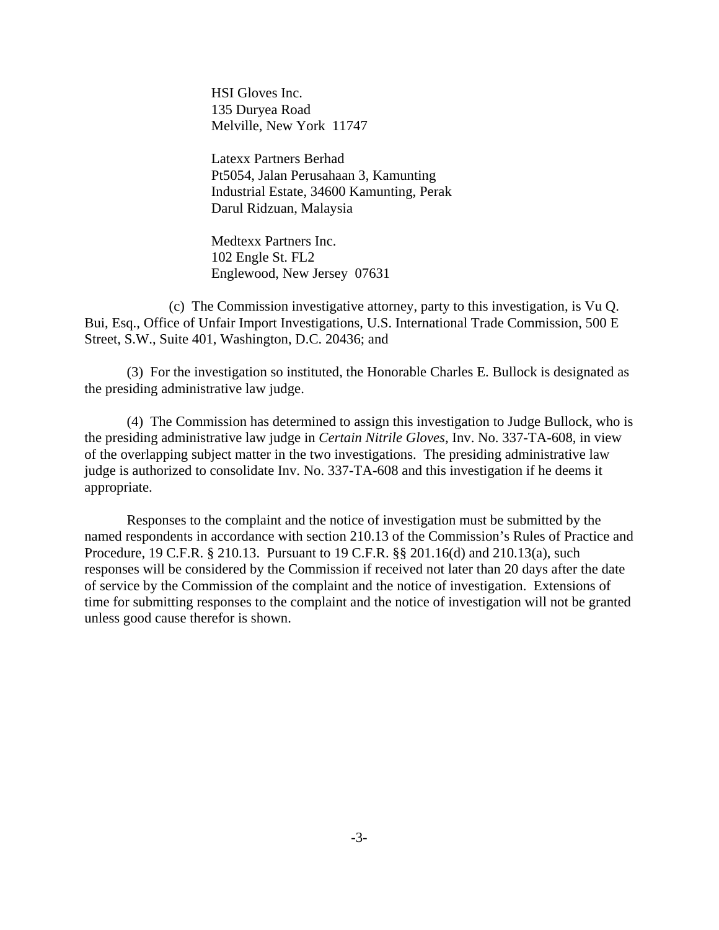HSI Gloves Inc. 135 Duryea Road Melville, New York 11747

Latexx Partners Berhad Pt5054, Jalan Perusahaan 3, Kamunting Industrial Estate, 34600 Kamunting, Perak Darul Ridzuan, Malaysia

Medtexx Partners Inc. 102 Engle St. FL2 Englewood, New Jersey 07631

(c) The Commission investigative attorney, party to this investigation, is Vu Q. Bui, Esq., Office of Unfair Import Investigations, U.S. International Trade Commission, 500 E Street, S.W., Suite 401, Washington, D.C. 20436; and

(3) For the investigation so instituted, the Honorable Charles E. Bullock is designated as the presiding administrative law judge.

(4) The Commission has determined to assign this investigation to Judge Bullock, who is the presiding administrative law judge in *Certain Nitrile Gloves*, Inv. No. 337-TA-608, in view of the overlapping subject matter in the two investigations. The presiding administrative law judge is authorized to consolidate Inv. No. 337-TA-608 and this investigation if he deems it appropriate.

Responses to the complaint and the notice of investigation must be submitted by the named respondents in accordance with section 210.13 of the Commission's Rules of Practice and Procedure, 19 C.F.R. § 210.13. Pursuant to 19 C.F.R. §§ 201.16(d) and 210.13(a), such responses will be considered by the Commission if received not later than 20 days after the date of service by the Commission of the complaint and the notice of investigation. Extensions of time for submitting responses to the complaint and the notice of investigation will not be granted unless good cause therefor is shown.